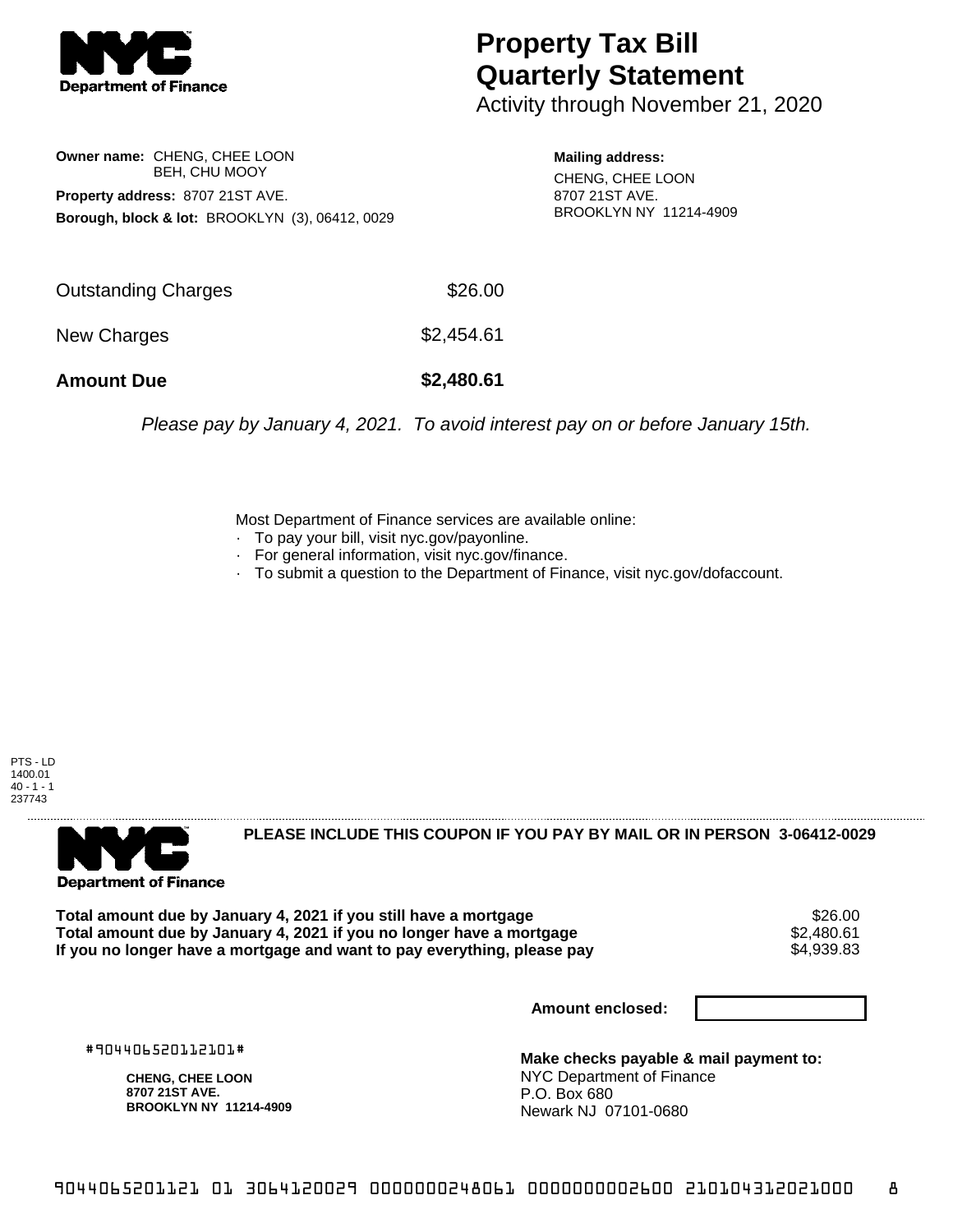

## **Property Tax Bill Quarterly Statement**

Activity through November 21, 2020

**Owner name:** CHENG, CHEE LOON BEH, CHU MOOY **Property address:** 8707 21ST AVE. **Borough, block & lot:** BROOKLYN (3), 06412, 0029

**Mailing address:** CHENG, CHEE LOON 8707 21ST AVE. BROOKLYN NY 11214-4909

| <b>Amount Due</b>   | \$2,480.61 |
|---------------------|------------|
| New Charges         | \$2,454.61 |
| Outstanding Charges | \$26.00    |

Please pay by January 4, 2021. To avoid interest pay on or before January 15th.

Most Department of Finance services are available online:

- · To pay your bill, visit nyc.gov/payonline.
- For general information, visit nyc.gov/finance.
- · To submit a question to the Department of Finance, visit nyc.gov/dofaccount.



**Department of Finance** 

**PLEASE INCLUDE THIS COUPON IF YOU PAY BY MAIL OR IN PERSON 3-06412-0029** 

Total amount due by January 4, 2021 if you still have a mortgage **\$26.00** \$26.00<br>Total amount due by January 4, 2021 if you no longer have a mortgage **\$2,480.61** \$2.480.61 **Total amount due by January 4, 2021 if you no longer have a mortgage**  $$2,480.61$ **<br>If you no longer have a mortgage and want to pay everything, please pay**  $$4.939.83$ If you no longer have a mortgage and want to pay everything, please pay

**Amount enclosed:**

#904406520112101#

**CHENG, CHEE LOON 8707 21ST AVE. BROOKLYN NY 11214-4909**

**Make checks payable & mail payment to:** NYC Department of Finance P.O. Box 680 Newark NJ 07101-0680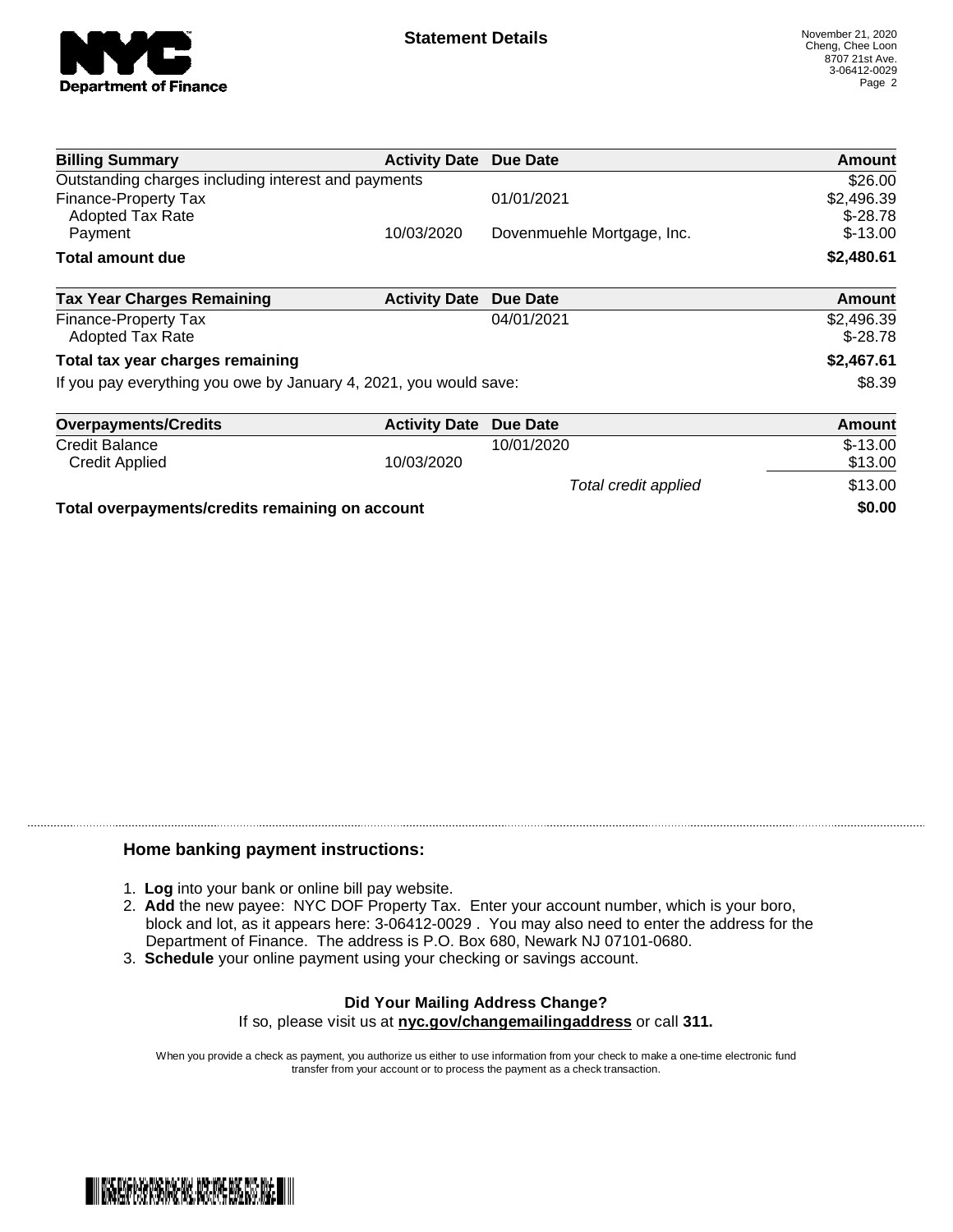

| <b>Billing Summary</b>                                            | <b>Activity Date Due Date</b> |                            | Amount                  |
|-------------------------------------------------------------------|-------------------------------|----------------------------|-------------------------|
| Outstanding charges including interest and payments               |                               |                            | \$26.00                 |
| Finance-Property Tax<br><b>Adopted Tax Rate</b>                   |                               | 01/01/2021                 | \$2,496.39<br>$$-28.78$ |
| Payment                                                           | 10/03/2020                    | Dovenmuehle Mortgage, Inc. | $$-13.00$               |
| <b>Total amount due</b>                                           |                               |                            | \$2,480.61              |
| <b>Tax Year Charges Remaining</b>                                 | <b>Activity Date</b>          | Due Date                   | <b>Amount</b>           |
| Finance-Property Tax<br><b>Adopted Tax Rate</b>                   |                               | 04/01/2021                 | \$2,496.39<br>$$-28.78$ |
| Total tax year charges remaining                                  |                               |                            | \$2,467.61              |
| If you pay everything you owe by January 4, 2021, you would save: |                               |                            | \$8.39                  |
| <b>Overpayments/Credits</b>                                       | <b>Activity Date</b>          | Due Date                   | Amount                  |
| Credit Balance                                                    |                               | 10/01/2020                 | $$-13.00$               |
| Credit Applied                                                    | 10/03/2020                    |                            | \$13.00                 |
|                                                                   |                               | Total credit applied       | \$13.00                 |
| Total overpayments/credits remaining on account                   |                               |                            | \$0.00                  |

## **Home banking payment instructions:**

- 1. **Log** into your bank or online bill pay website.
- 2. **Add** the new payee: NYC DOF Property Tax. Enter your account number, which is your boro, block and lot, as it appears here: 3-06412-0029 . You may also need to enter the address for the Department of Finance. The address is P.O. Box 680, Newark NJ 07101-0680.
- 3. **Schedule** your online payment using your checking or savings account.

## **Did Your Mailing Address Change?** If so, please visit us at **nyc.gov/changemailingaddress** or call **311.**

When you provide a check as payment, you authorize us either to use information from your check to make a one-time electronic fund transfer from your account or to process the payment as a check transaction.